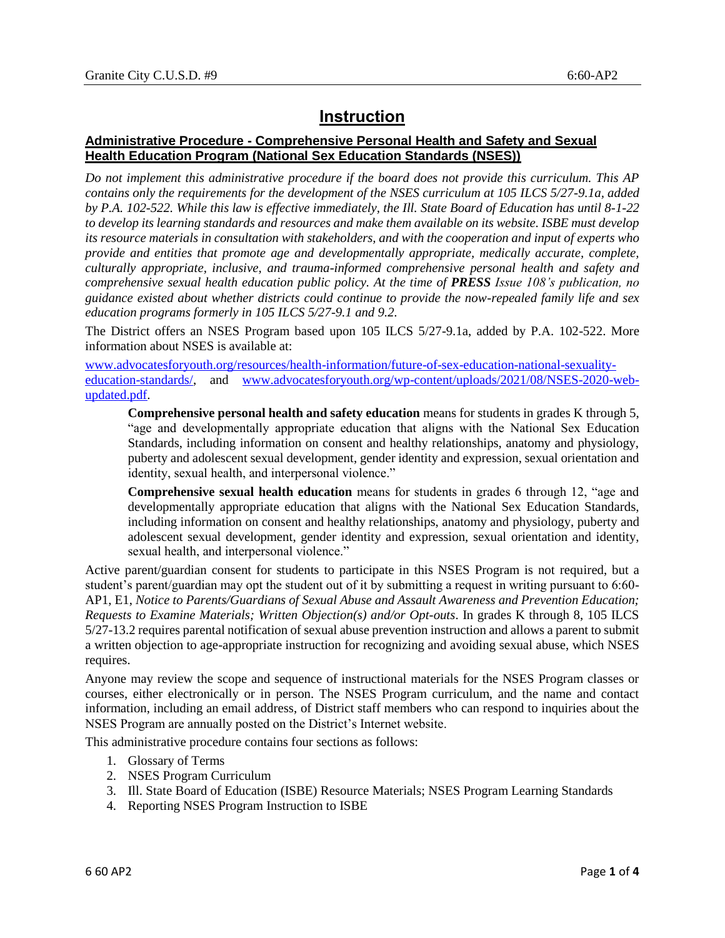# **Instruction**

## **Administrative Procedure - Comprehensive Personal Health and Safety and Sexual Health Education Program (National Sex Education Standards (NSES))**

*Do not implement this administrative procedure if the board does not provide this curriculum. This AP contains only the requirements for the development of the NSES curriculum at 105 ILCS 5/27-9.1a, added by P.A. 102-522. While this law is effective immediately, the Ill. State Board of Education has until 8-1-22 to develop its learning standards and resources and make them available on its website. ISBE must develop its resource materials in consultation with stakeholders, and with the cooperation and input of experts who provide and entities that promote age and developmentally appropriate, medically accurate, complete, culturally appropriate, inclusive, and trauma-informed comprehensive personal health and safety and comprehensive sexual health education public policy. At the time of PRESS Issue 108's publication, no guidance existed about whether districts could continue to provide the now-repealed family life and sex education programs formerly in 105 ILCS 5/27-9.1 and 9.2.*

The District offers an NSES Program based upon 105 ILCS 5/27-9.1a, added by P.A. 102-522. More information about NSES is available at:

[www.advocatesforyouth.org/resources/health-information/future-of-sex-education-national-sexuality](http://www.advocatesforyouth.org/resources/health-information/future-of-sex-education-national-sexuality-education-standards/)[education-standards/,](http://www.advocatesforyouth.org/resources/health-information/future-of-sex-education-national-sexuality-education-standards/) and [www.advocatesforyouth.org/wp-content/uploads/2021/08/NSES-2020-web](http://www.advocatesforyouth.org/wp-content/uploads/2021/08/NSES-2020-web-updated.pdf)[updated.pdf.](http://www.advocatesforyouth.org/wp-content/uploads/2021/08/NSES-2020-web-updated.pdf)

**Comprehensive personal health and safety education** means for students in grades K through 5, "age and developmentally appropriate education that aligns with the National Sex Education Standards, including information on consent and healthy relationships, anatomy and physiology, puberty and adolescent sexual development, gender identity and expression, sexual orientation and identity, sexual health, and interpersonal violence."

**Comprehensive sexual health education** means for students in grades 6 through 12, "age and developmentally appropriate education that aligns with the National Sex Education Standards, including information on consent and healthy relationships, anatomy and physiology, puberty and adolescent sexual development, gender identity and expression, sexual orientation and identity, sexual health, and interpersonal violence."

Active parent/guardian consent for students to participate in this NSES Program is not required, but a student's parent/guardian may opt the student out of it by submitting a request in writing pursuant to 6:60- AP1, E1, *Notice to Parents/Guardians of Sexual Abuse and Assault Awareness and Prevention Education; Requests to Examine Materials; Written Objection(s) and/or Opt-outs*. In grades K through 8, 105 ILCS 5/27-13.2 requires parental notification of sexual abuse prevention instruction and allows a parent to submit a written objection to age-appropriate instruction for recognizing and avoiding sexual abuse, which NSES requires.

Anyone may review the scope and sequence of instructional materials for the NSES Program classes or courses, either electronically or in person. The NSES Program curriculum, and the name and contact information, including an email address, of District staff members who can respond to inquiries about the NSES Program are annually posted on the District's Internet website.

This administrative procedure contains four sections as follows:

- 1. Glossary of Terms
- 2. NSES Program Curriculum
- 3. Ill. State Board of Education (ISBE) Resource Materials; NSES Program Learning Standards
- 4. Reporting NSES Program Instruction to ISBE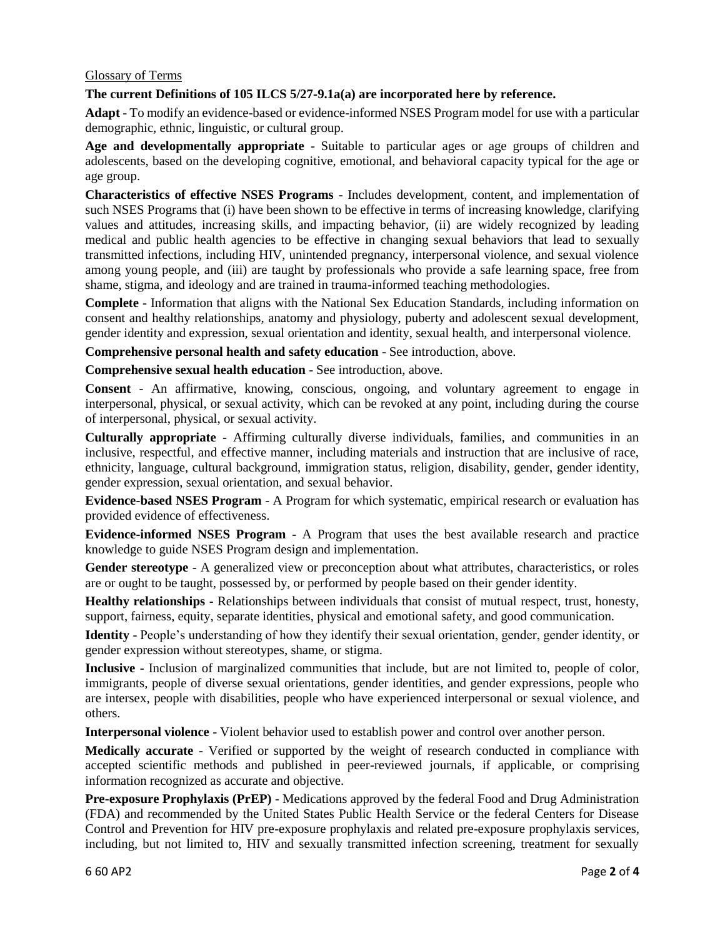### Glossary of Terms

### **The current Definitions of 105 ILCS 5/27-9.1a(a) are incorporated here by reference.**

**Adapt** - To modify an evidence-based or evidence-informed NSES Program model for use with a particular demographic, ethnic, linguistic, or cultural group.

**Age and developmentally appropriate** - Suitable to particular ages or age groups of children and adolescents, based on the developing cognitive, emotional, and behavioral capacity typical for the age or age group.

**Characteristics of effective NSES Programs** - Includes development, content, and implementation of such NSES Programs that (i) have been shown to be effective in terms of increasing knowledge, clarifying values and attitudes, increasing skills, and impacting behavior, (ii) are widely recognized by leading medical and public health agencies to be effective in changing sexual behaviors that lead to sexually transmitted infections, including HIV, unintended pregnancy, interpersonal violence, and sexual violence among young people, and (iii) are taught by professionals who provide a safe learning space, free from shame, stigma, and ideology and are trained in trauma-informed teaching methodologies.

**Complete** - Information that aligns with the National Sex Education Standards, including information on consent and healthy relationships, anatomy and physiology, puberty and adolescent sexual development, gender identity and expression, sexual orientation and identity, sexual health, and interpersonal violence.

**Comprehensive personal health and safety education** - See introduction, above.

**Comprehensive sexual health education** - See introduction, above.

**Consent** - An affirmative, knowing, conscious, ongoing, and voluntary agreement to engage in interpersonal, physical, or sexual activity, which can be revoked at any point, including during the course of interpersonal, physical, or sexual activity.

**Culturally appropriate** - Affirming culturally diverse individuals, families, and communities in an inclusive, respectful, and effective manner, including materials and instruction that are inclusive of race, ethnicity, language, cultural background, immigration status, religion, disability, gender, gender identity, gender expression, sexual orientation, and sexual behavior.

**Evidence-based NSES Program** - A Program for which systematic, empirical research or evaluation has provided evidence of effectiveness.

**Evidence-informed NSES Program** - A Program that uses the best available research and practice knowledge to guide NSES Program design and implementation.

**Gender stereotype** - A generalized view or preconception about what attributes, characteristics, or roles are or ought to be taught, possessed by, or performed by people based on their gender identity.

**Healthy relationships** - Relationships between individuals that consist of mutual respect, trust, honesty, support, fairness, equity, separate identities, physical and emotional safety, and good communication.

**Identity** - People's understanding of how they identify their sexual orientation, gender, gender identity, or gender expression without stereotypes, shame, or stigma.

**Inclusive** - Inclusion of marginalized communities that include, but are not limited to, people of color, immigrants, people of diverse sexual orientations, gender identities, and gender expressions, people who are intersex, people with disabilities, people who have experienced interpersonal or sexual violence, and others.

**Interpersonal violence** - Violent behavior used to establish power and control over another person.

**Medically accurate** - Verified or supported by the weight of research conducted in compliance with accepted scientific methods and published in peer-reviewed journals, if applicable, or comprising information recognized as accurate and objective.

**Pre-exposure Prophylaxis (PrEP)** - Medications approved by the federal Food and Drug Administration (FDA) and recommended by the United States Public Health Service or the federal Centers for Disease Control and Prevention for HIV pre-exposure prophylaxis and related pre-exposure prophylaxis services, including, but not limited to, HIV and sexually transmitted infection screening, treatment for sexually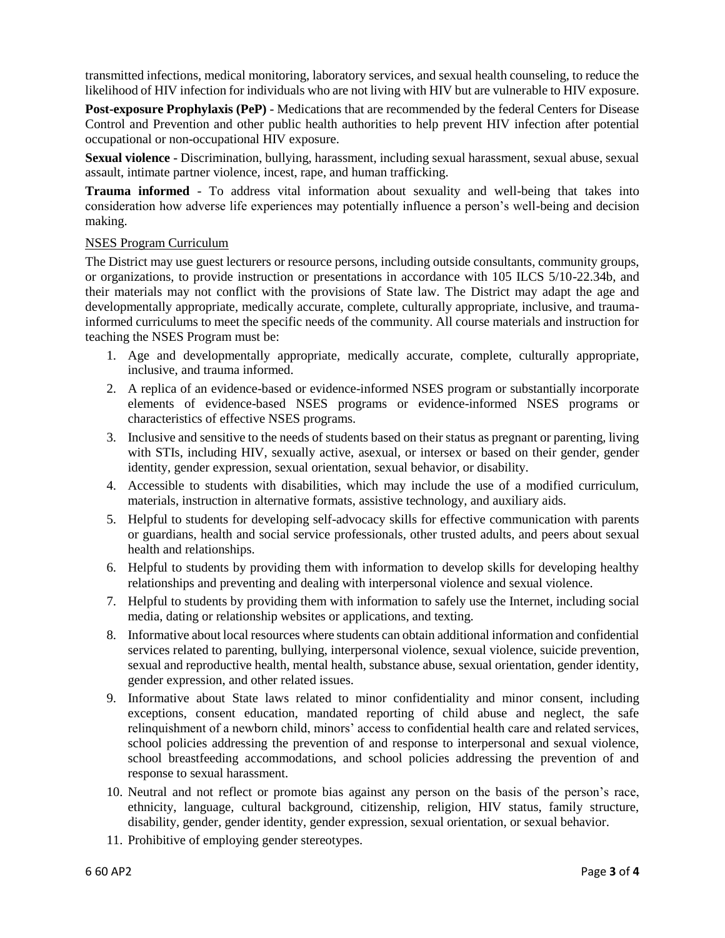transmitted infections, medical monitoring, laboratory services, and sexual health counseling, to reduce the likelihood of HIV infection for individuals who are not living with HIV but are vulnerable to HIV exposure.

**Post-exposure Prophylaxis (PeP)** - Medications that are recommended by the federal Centers for Disease Control and Prevention and other public health authorities to help prevent HIV infection after potential occupational or non-occupational HIV exposure.

**Sexual violence** - Discrimination, bullying, harassment, including sexual harassment, sexual abuse, sexual assault, intimate partner violence, incest, rape, and human trafficking.

**Trauma informed** - To address vital information about sexuality and well-being that takes into consideration how adverse life experiences may potentially influence a person's well-being and decision making.

#### NSES Program Curriculum

The District may use guest lecturers or resource persons, including outside consultants, community groups, or organizations, to provide instruction or presentations in accordance with 105 ILCS 5/10-22.34b, and their materials may not conflict with the provisions of State law. The District may adapt the age and developmentally appropriate, medically accurate, complete, culturally appropriate, inclusive, and traumainformed curriculums to meet the specific needs of the community. All course materials and instruction for teaching the NSES Program must be:

- 1. Age and developmentally appropriate, medically accurate, complete, culturally appropriate, inclusive, and trauma informed.
- 2. A replica of an evidence-based or evidence-informed NSES program or substantially incorporate elements of evidence-based NSES programs or evidence-informed NSES programs or characteristics of effective NSES programs.
- 3. Inclusive and sensitive to the needs of students based on their status as pregnant or parenting, living with STIs, including HIV, sexually active, asexual, or intersex or based on their gender, gender identity, gender expression, sexual orientation, sexual behavior, or disability.
- 4. Accessible to students with disabilities, which may include the use of a modified curriculum, materials, instruction in alternative formats, assistive technology, and auxiliary aids.
- 5. Helpful to students for developing self-advocacy skills for effective communication with parents or guardians, health and social service professionals, other trusted adults, and peers about sexual health and relationships.
- 6. Helpful to students by providing them with information to develop skills for developing healthy relationships and preventing and dealing with interpersonal violence and sexual violence.
- 7. Helpful to students by providing them with information to safely use the Internet, including social media, dating or relationship websites or applications, and texting.
- 8. Informative about local resources where students can obtain additional information and confidential services related to parenting, bullying, interpersonal violence, sexual violence, suicide prevention, sexual and reproductive health, mental health, substance abuse, sexual orientation, gender identity, gender expression, and other related issues.
- 9. Informative about State laws related to minor confidentiality and minor consent, including exceptions, consent education, mandated reporting of child abuse and neglect, the safe relinquishment of a newborn child, minors' access to confidential health care and related services, school policies addressing the prevention of and response to interpersonal and sexual violence, school breastfeeding accommodations, and school policies addressing the prevention of and response to sexual harassment.
- 10. Neutral and not reflect or promote bias against any person on the basis of the person's race, ethnicity, language, cultural background, citizenship, religion, HIV status, family structure, disability, gender, gender identity, gender expression, sexual orientation, or sexual behavior.
- 11. Prohibitive of employing gender stereotypes.